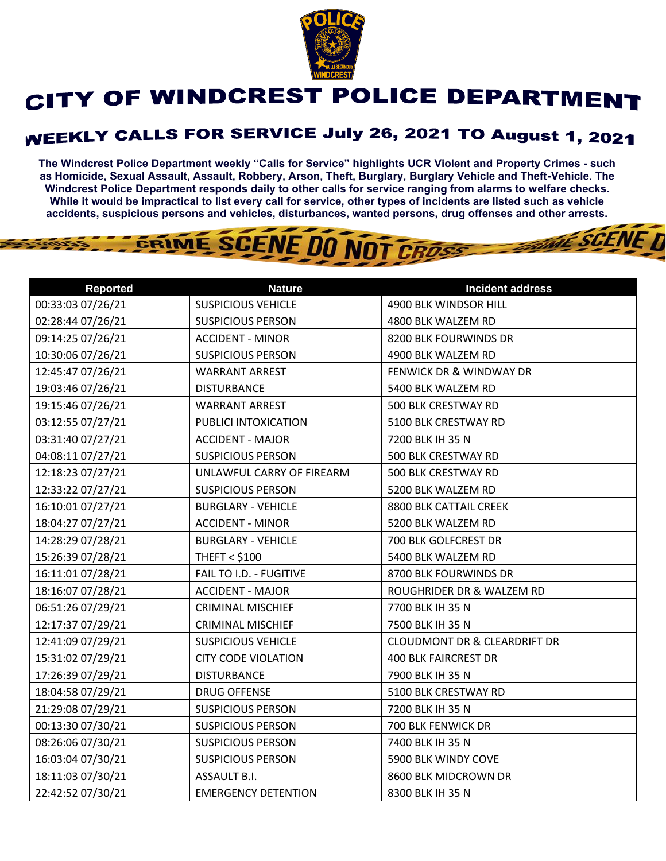

## CITY OF WINDCREST POLICE DEPARTMENT

## **WEEKLY CALLS FOR SERVICE July 26, 2021 TO August 1, 2021**

**The Windcrest Police Department weekly "Calls for Service" highlights UCR Violent and Property Crimes - such as Homicide, Sexual Assault, Assault, Robbery, Arson, Theft, Burglary, Burglary Vehicle and Theft-Vehicle. The Windcrest Police Department responds daily to other calls for service ranging from alarms to welfare checks. While it would be impractical to list every call for service, other types of incidents are listed such as vehicle accidents, suspicious persons and vehicles, disturbances, wanted persons, drug offenses and other arrests.** 

**THE SCENE TI** 

## GRIME SCENE DO NOT CROSS

| <b>Reported</b>   | <b>Nature</b>              | <b>Incident address</b>                 |
|-------------------|----------------------------|-----------------------------------------|
| 00:33:03 07/26/21 | <b>SUSPICIOUS VEHICLE</b>  | 4900 BLK WINDSOR HILL                   |
| 02:28:44 07/26/21 | <b>SUSPICIOUS PERSON</b>   | 4800 BLK WALZEM RD                      |
| 09:14:25 07/26/21 | <b>ACCIDENT - MINOR</b>    | 8200 BLK FOURWINDS DR                   |
| 10:30:06 07/26/21 | <b>SUSPICIOUS PERSON</b>   | 4900 BLK WALZEM RD                      |
| 12:45:47 07/26/21 | <b>WARRANT ARREST</b>      | <b>FENWICK DR &amp; WINDWAY DR</b>      |
| 19:03:46 07/26/21 | <b>DISTURBANCE</b>         | 5400 BLK WALZEM RD                      |
| 19:15:46 07/26/21 | <b>WARRANT ARREST</b>      | 500 BLK CRESTWAY RD                     |
| 03:12:55 07/27/21 | PUBLICI INTOXICATION       | 5100 BLK CRESTWAY RD                    |
| 03:31:40 07/27/21 | <b>ACCIDENT - MAJOR</b>    | 7200 BLK IH 35 N                        |
| 04:08:11 07/27/21 | <b>SUSPICIOUS PERSON</b>   | 500 BLK CRESTWAY RD                     |
| 12:18:23 07/27/21 | UNLAWFUL CARRY OF FIREARM  | 500 BLK CRESTWAY RD                     |
| 12:33:22 07/27/21 | <b>SUSPICIOUS PERSON</b>   | 5200 BLK WALZEM RD                      |
| 16:10:01 07/27/21 | <b>BURGLARY - VEHICLE</b>  | 8800 BLK CATTAIL CREEK                  |
| 18:04:27 07/27/21 | <b>ACCIDENT - MINOR</b>    | 5200 BLK WALZEM RD                      |
| 14:28:29 07/28/21 | <b>BURGLARY - VEHICLE</b>  | 700 BLK GOLFCREST DR                    |
| 15:26:39 07/28/21 | <b>THEFT &lt; \$100</b>    | 5400 BLK WALZEM RD                      |
| 16:11:01 07/28/21 | FAIL TO I.D. - FUGITIVE    | 8700 BLK FOURWINDS DR                   |
| 18:16:07 07/28/21 | <b>ACCIDENT - MAJOR</b>    | ROUGHRIDER DR & WALZEM RD               |
| 06:51:26 07/29/21 | <b>CRIMINAL MISCHIEF</b>   | 7700 BLK IH 35 N                        |
| 12:17:37 07/29/21 | <b>CRIMINAL MISCHIEF</b>   | 7500 BLK IH 35 N                        |
| 12:41:09 07/29/21 | <b>SUSPICIOUS VEHICLE</b>  | <b>CLOUDMONT DR &amp; CLEARDRIFT DR</b> |
| 15:31:02 07/29/21 | <b>CITY CODE VIOLATION</b> | <b>400 BLK FAIRCREST DR</b>             |
| 17:26:39 07/29/21 | <b>DISTURBANCE</b>         | 7900 BLK IH 35 N                        |
| 18:04:58 07/29/21 | <b>DRUG OFFENSE</b>        | 5100 BLK CRESTWAY RD                    |
| 21:29:08 07/29/21 | <b>SUSPICIOUS PERSON</b>   | 7200 BLK IH 35 N                        |
| 00:13:30 07/30/21 | <b>SUSPICIOUS PERSON</b>   | 700 BLK FENWICK DR                      |
| 08:26:06 07/30/21 | <b>SUSPICIOUS PERSON</b>   | 7400 BLK IH 35 N                        |
| 16:03:04 07/30/21 | <b>SUSPICIOUS PERSON</b>   | 5900 BLK WINDY COVE                     |
| 18:11:03 07/30/21 | ASSAULT B.I.               | 8600 BLK MIDCROWN DR                    |
| 22:42:52 07/30/21 | <b>EMERGENCY DETENTION</b> | 8300 BLK IH 35 N                        |